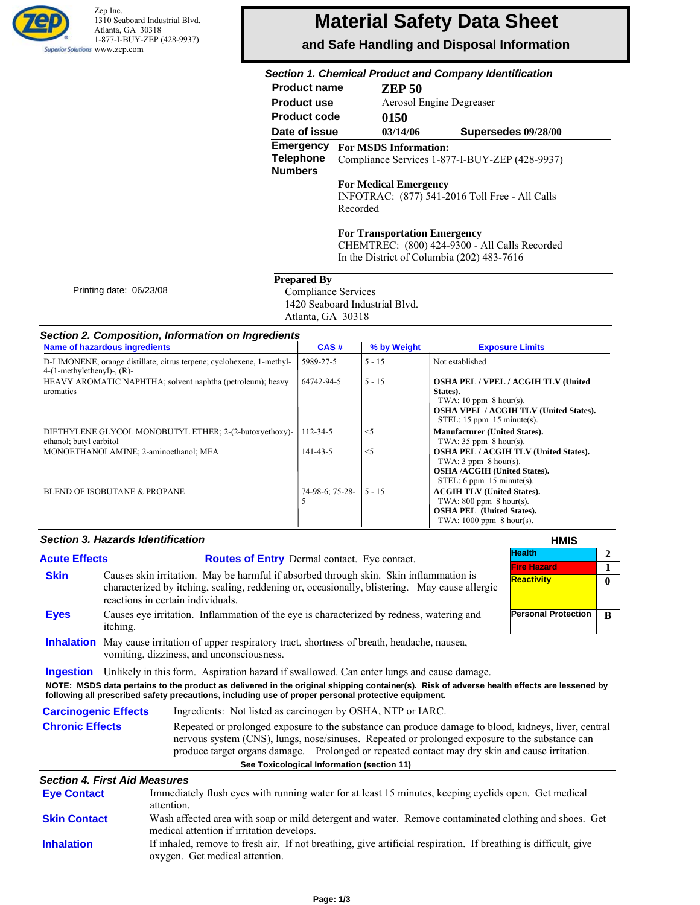

Zep Inc. 1310 Seaboard Industrial Blvd. Atlanta, GA 30318 1-877-I-BUY-ZEP (428-9937) Superior Solutions WWW.zep.com

# **Material Safety Data Sheet**

**and Safe Handling and Disposal Information**

# *Section 1. Chemical Product and Company Identification*

| <b>Product name</b>                                    | <b>ZEP 50</b>                                                                  |                                                |  |  |
|--------------------------------------------------------|--------------------------------------------------------------------------------|------------------------------------------------|--|--|
| <b>Product use</b>                                     |                                                                                | Aerosol Engine Degreaser                       |  |  |
| <b>Product code</b>                                    | 0150                                                                           |                                                |  |  |
| Date of issue                                          | 03/14/06                                                                       | Supersedes 09/28/00                            |  |  |
| <b>Emergency</b><br><b>Telephone</b><br><b>Numbers</b> | <b>For MSDS Information:</b><br>Compliance Services 1-877-I-BUY-ZEP (428-9937) |                                                |  |  |
|                                                        | <b>For Medical Emergency</b><br>Recorded                                       | INFOTRAC: (877) 541-2016 Toll Free - All Calls |  |  |

**For Transportation Emergency**

CHEMTREC: (800) 424-9300 - All Calls Recorded In the District of Columbia (202) 483-7616

| <b>Prepared By</b> |  |
|--------------------|--|
|                    |  |

 Compliance Services 1420 Seaboard Industrial Blvd. Atlanta, GA 30318

### *Section 2. Composition, Information on Ingredients*

| <b>Name of hazardous ingredients</b>                                                                      | CAS#                 | % by Weight | <b>Exposure Limits</b>                                                                                                                                               |
|-----------------------------------------------------------------------------------------------------------|----------------------|-------------|----------------------------------------------------------------------------------------------------------------------------------------------------------------------|
| D-LIMONENE; orange distillate; citrus terpene; cyclohexene, 1-methyl-<br>$4-(1-methylethenyl)$ -, $(R)$ - | 5989-27-5            | $5 - 15$    | Not established                                                                                                                                                      |
| HEAVY AROMATIC NAPHTHA; solvent naphtha (petroleum); heavy<br>aromatics                                   | 64742-94-5           | $5 - 15$    | <b>OSHA PEL / VPEL / ACGIH TLV (United)</b><br>States).<br>TWA: 10 ppm $8$ hour(s).<br><b>OSHA VPEL / ACGIH TLV (United States).</b><br>STEL: 15 ppm $15$ minute(s). |
| DIETHYLENE GLYCOL MONOBUTYL ETHER; 2-(2-butoxyethoxy)-<br>ethanol; butyl carbitol                         | 112-34-5             | $<$ 5       | <b>Manufacturer (United States).</b><br>TWA: $35$ ppm $8$ hour(s).                                                                                                   |
| MONOETHANOLAMINE; 2-aminoethanol; MEA                                                                     | 141-43-5             | $<$ 5       | <b>OSHA PEL / ACGIH TLV (United States).</b><br>TWA: $3$ ppm $8$ hour(s).<br><b>OSHA /ACGIH (United States).</b><br>STEL: 6 ppm $15$ minute(s).                      |
| BLEND OF ISOBUTANE & PROPANE                                                                              | 74-98-6: 75-28-<br>5 | $5 - 15$    | <b>ACGIH TLV (United States).</b><br>TWA: $800$ ppm $8$ hour(s).<br><b>OSHA PEL (United States).</b><br>TWA: $1000$ ppm $8$ hour(s).                                 |

#### *Section 3. Hazards Identification*

Printing date: 06/23/08

|                                                                                                                                                                                                                                  | <b>Section 3. Hazards Identification</b> |                                                                                                                                                                                                                                                                                                                                               | <b>HMIS</b>                         |                |
|----------------------------------------------------------------------------------------------------------------------------------------------------------------------------------------------------------------------------------|------------------------------------------|-----------------------------------------------------------------------------------------------------------------------------------------------------------------------------------------------------------------------------------------------------------------------------------------------------------------------------------------------|-------------------------------------|----------------|
| <b>Acute Effects</b>                                                                                                                                                                                                             |                                          | <b>Routes of Entry</b> Dermal contact. Eye contact.                                                                                                                                                                                                                                                                                           | <b>Health</b><br><b>Fire Hazard</b> | $\overline{2}$ |
| <b>Skin</b>                                                                                                                                                                                                                      |                                          | Causes skin irritation. May be harmful if absorbed through skin. Skin inflammation is<br>characterized by itching, scaling, reddening or, occasionally, blistering. May cause allergic<br>reactions in certain individuals.                                                                                                                   | <b>Reactivity</b>                   | $\mathbf{0}$   |
| <b>Eyes</b>                                                                                                                                                                                                                      | itching.                                 | Causes eye irritation. Inflammation of the eye is characterized by redness, watering and                                                                                                                                                                                                                                                      | <b>Personal Protection</b>          | B              |
|                                                                                                                                                                                                                                  |                                          | <b>Inhalation</b> May cause irritation of upper respiratory tract, shortness of breath, headache, nausea,<br>vomiting, dizziness, and unconsciousness.                                                                                                                                                                                        |                                     |                |
| <b>Ingestion</b>                                                                                                                                                                                                                 |                                          | Unlikely in this form. Aspiration hazard if swallowed. Can enter lungs and cause damage.<br>NOTE: MSDS data pertains to the product as delivered in the original shipping container(s). Risk of adverse health effects are lessened by<br>following all prescribed safety precautions, including use of proper personal protective equipment. |                                     |                |
| <b>Carcinogenic Effects</b>                                                                                                                                                                                                      |                                          | Ingredients: Not listed as carcinogen by OSHA, NTP or IARC.                                                                                                                                                                                                                                                                                   |                                     |                |
| Repeated or prolonged exposure to the substance can produce damage to blood, kidneys, liver, central<br><b>Chronic Effects</b><br>nervous system (CNS), lungs, nose/sinuses. Repeated or prolonged exposure to the substance can |                                          |                                                                                                                                                                                                                                                                                                                                               |                                     |                |

## produce target organs damage. Prolonged or repeated contact may dry skin and cause irritation. **See Toxicological Information (section 11)**

#### *Section 4. First Aid Measures*

| <b>Eye Contact</b>  | Immediately flush eyes with running water for at least 15 minutes, keeping eyelids open. Get medical<br>attention.                                 |
|---------------------|----------------------------------------------------------------------------------------------------------------------------------------------------|
| <b>Skin Contact</b> | Wash affected area with soap or mild detergent and water. Remove contaminated clothing and shoes. Get<br>medical attention if irritation develops. |
| <b>Inhalation</b>   | If inhaled, remove to fresh air. If not breathing, give artificial respiration. If breathing is difficult, give<br>oxygen. Get medical attention.  |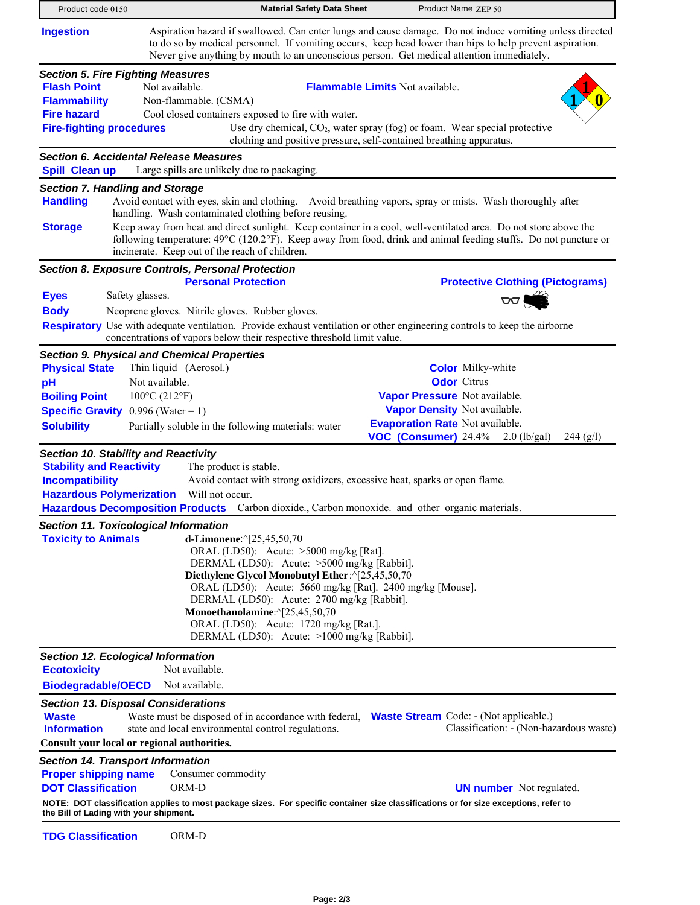| Product code 0150                                                                                                                              | <b>Material Safety Data Sheet</b>                                                                                                                                                                                                                                                                                                                                                                             | Product Name ZEP 50                                                                                                                                                                                                                                                                                                                             |
|------------------------------------------------------------------------------------------------------------------------------------------------|---------------------------------------------------------------------------------------------------------------------------------------------------------------------------------------------------------------------------------------------------------------------------------------------------------------------------------------------------------------------------------------------------------------|-------------------------------------------------------------------------------------------------------------------------------------------------------------------------------------------------------------------------------------------------------------------------------------------------------------------------------------------------|
| <b>Ingestion</b>                                                                                                                               | Never give anything by mouth to an unconscious person. Get medical attention immediately.                                                                                                                                                                                                                                                                                                                     | Aspiration hazard if swallowed. Can enter lungs and cause damage. Do not induce vomiting unless directed<br>to do so by medical personnel. If vomiting occurs, keep head lower than hips to help prevent aspiration.                                                                                                                            |
| <b>Section 5. Fire Fighting Measures</b><br><b>Flash Point</b><br><b>Flammability</b><br><b>Fire hazard</b><br><b>Fire-fighting procedures</b> | Not available.<br>Non-flammable. (CSMA)<br>Cool closed containers exposed to fire with water.                                                                                                                                                                                                                                                                                                                 | <b>Flammable Limits Not available.</b><br>Use dry chemical, $CO2$ , water spray (fog) or foam. Wear special protective<br>clothing and positive pressure, self-contained breathing apparatus.                                                                                                                                                   |
| Spill Clean up                                                                                                                                 | <b>Section 6. Accidental Release Measures</b><br>Large spills are unlikely due to packaging.                                                                                                                                                                                                                                                                                                                  |                                                                                                                                                                                                                                                                                                                                                 |
| <b>Section 7. Handling and Storage</b><br><b>Handling</b><br><b>Storage</b>                                                                    | handling. Wash contaminated clothing before reusing.<br>incinerate. Keep out of the reach of children.                                                                                                                                                                                                                                                                                                        | Avoid contact with eyes, skin and clothing. Avoid breathing vapors, spray or mists. Wash thoroughly after<br>Keep away from heat and direct sunlight. Keep container in a cool, well-ventilated area. Do not store above the<br>following temperature: 49°C (120.2°F). Keep away from food, drink and animal feeding stuffs. Do not puncture or |
| Safety glasses.<br><b>Eyes</b><br><b>Body</b>                                                                                                  | Section 8. Exposure Controls, Personal Protection<br><b>Personal Protection</b><br>Neoprene gloves. Nitrile gloves. Rubber gloves.<br>concentrations of vapors below their respective threshold limit value.                                                                                                                                                                                                  | <b>Protective Clothing (Pictograms)</b><br>$\infty$<br><b>Respiratory</b> Use with adequate ventilation. Provide exhaust ventilation or other engineering controls to keep the airborne                                                                                                                                                         |
| <b>Physical State</b><br>pH<br><b>Boiling Point</b><br><b>Specific Gravity</b> $0.996$ (Water = 1)<br><b>Solubility</b>                        | <b>Section 9. Physical and Chemical Properties</b><br>Thin liquid (Aerosol.)<br>Not available.<br>$100^{\circ}$ C (212°F)<br>Partially soluble in the following materials: water                                                                                                                                                                                                                              | <b>Color</b> Milky-white<br><b>Odor</b> Citrus<br>Vapor Pressure Not available.<br>Vapor Density Not available.<br><b>Evaporation Rate Not available.</b><br>VOC (Consumer) 24.4%<br>$2.0$ (lb/gal)<br>244 (g/l)                                                                                                                                |
| <b>Section 10. Stability and Reactivity</b><br><b>Stability and Reactivity</b><br><b>Incompatibility</b><br><b>Hazardous Polymerization</b>    | The product is stable.<br>Avoid contact with strong oxidizers, excessive heat, sparks or open flame.<br>Will not occur.<br>Hazardous Decomposition Products Carbon dioxide., Carbon monoxide. and other organic materials.                                                                                                                                                                                    |                                                                                                                                                                                                                                                                                                                                                 |
| <b>Section 11. Toxicological Information</b>                                                                                                   |                                                                                                                                                                                                                                                                                                                                                                                                               |                                                                                                                                                                                                                                                                                                                                                 |
| <b>Toxicity to Animals</b>                                                                                                                     | d-Limonene: ^[25,45,50,70<br>ORAL (LD50): Acute: >5000 mg/kg [Rat].<br>DERMAL (LD50): Acute: >5000 mg/kg [Rabbit].<br>Diethylene Glycol Monobutyl Ether: ^[25,45,50,70<br>ORAL (LD50): Acute: 5660 mg/kg [Rat]. 2400 mg/kg [Mouse].<br>DERMAL (LD50): Acute: 2700 mg/kg [Rabbit].<br>Monoethanolamine: ^[25,45,50,70<br>ORAL (LD50): Acute: 1720 mg/kg [Rat.].<br>DERMAL (LD50): Acute: >1000 mg/kg [Rabbit]. |                                                                                                                                                                                                                                                                                                                                                 |
| <b>Section 12. Ecological Information</b><br><b>Ecotoxicity</b>                                                                                | Not available.                                                                                                                                                                                                                                                                                                                                                                                                |                                                                                                                                                                                                                                                                                                                                                 |
| <b>Biodegradable/OECD</b>                                                                                                                      | Not available.                                                                                                                                                                                                                                                                                                                                                                                                |                                                                                                                                                                                                                                                                                                                                                 |
| <b>Section 13. Disposal Considerations</b><br><b>Waste</b><br><b>Information</b><br>Consult your local or regional authorities.                | Waste must be disposed of in accordance with federal, <b>Waste Stream</b> Code: - (Not applicable.)<br>state and local environmental control regulations.                                                                                                                                                                                                                                                     | Classification: - (Non-hazardous waste)                                                                                                                                                                                                                                                                                                         |
| <b>Section 14. Transport Information</b><br><b>Proper shipping name</b><br><b>DOT Classification</b><br>the Bill of Lading with your shipment. | Consumer commodity<br>ORM-D                                                                                                                                                                                                                                                                                                                                                                                   | <b>UN number</b> Not regulated.<br>NOTE: DOT classification applies to most package sizes. For specific container size classifications or for size exceptions, refer to                                                                                                                                                                         |
| <b>TDG Classification</b>                                                                                                                      | ORM-D                                                                                                                                                                                                                                                                                                                                                                                                         |                                                                                                                                                                                                                                                                                                                                                 |